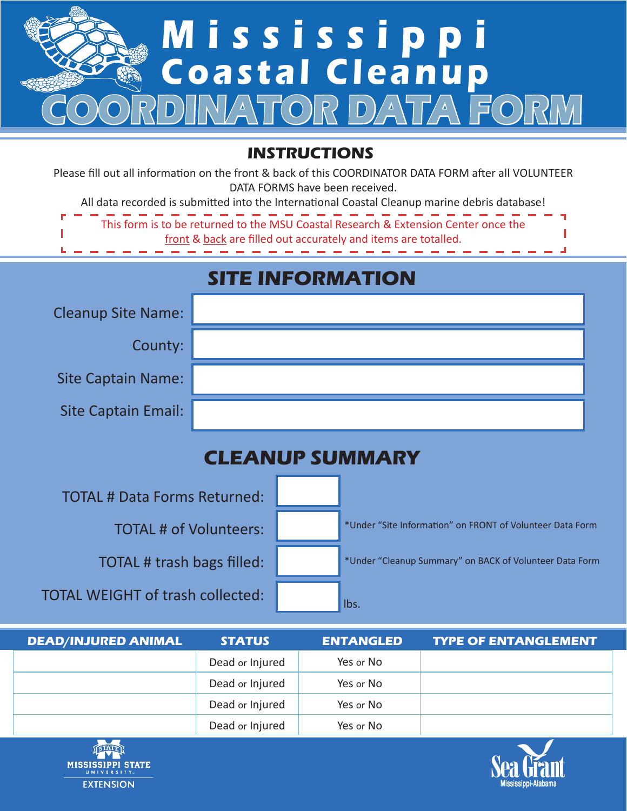

## **INSTRUCTIONS**

Please fill out all information on the front & back of this COORDINATOR DATA FORM after all VOLUNTEER DATA FORMS have been received.

All data recorded is submitted into the International Coastal Cleanup marine debris database!

| ------------------------------------<br>This form is to be returned to the MSU Coastal Research & Extension Center once the |  |
|-----------------------------------------------------------------------------------------------------------------------------|--|
| front & back are filled out accurately and items are totalled.                                                              |  |
|                                                                                                                             |  |

## **SITE INFORMATION**

| <b>Cleanup Site Name:</b> |  |
|---------------------------|--|
| County:                   |  |
| <b>Site Captain Name:</b> |  |
| Site Captain Email:       |  |

## **CLEANUP SUMMARY**

TOTAL # Data Forms Returned: TOTAL # of Volunteers: TOTAL # trash bags filled: TOTAL WEIGHT of trash collected: \*Under "Site Information" on FRONT of Volunteer Data Form \*Under "Cleanup Summary" on BACK of Volunteer Data Form lbs.

| <b>DEAD/INJURED ANIMAL</b> | <b>STATUS</b>   | <b>ENTANGLED</b> | <b>TYPE OF ENTANGLEMENT</b> |
|----------------------------|-----------------|------------------|-----------------------------|
|                            | Dead or Injured | Yes or No        |                             |
|                            | Dead or Injured | Yes or No        |                             |
|                            | Dead or Injured | Yes or No        |                             |
|                            | Dead or Injured | Yes or No        |                             |